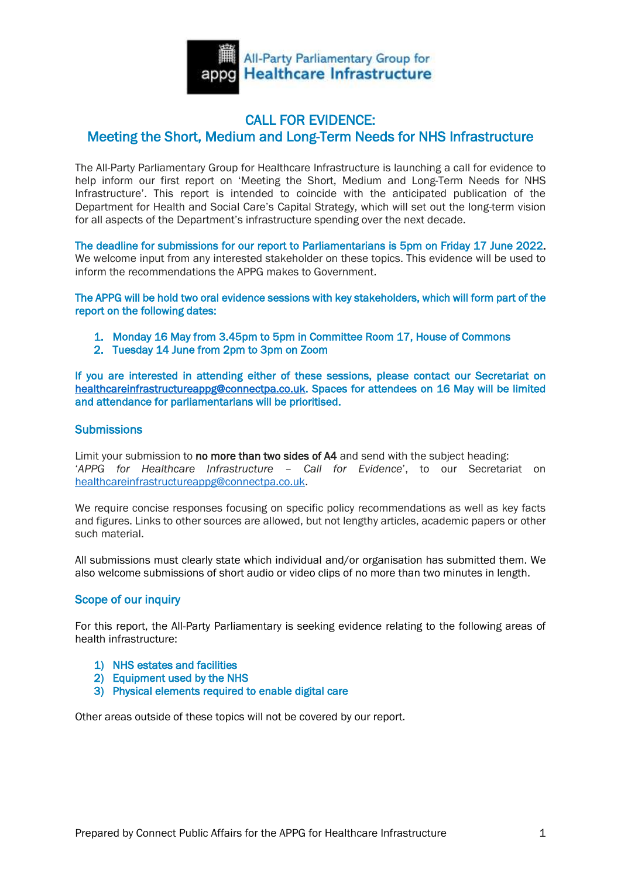

## CALL FOR EVIDENCE: Meeting the Short, Medium and Long-Term Needs for NHS Infrastructure

The All-Party Parliamentary Group for Healthcare Infrastructure is launching a call for evidence to help inform our first report on 'Meeting the Short, Medium and Long-Term Needs for NHS Infrastructure'. This report is intended to coincide with the anticipated publication of the Department for Health and Social Care's Capital Strategy, which will set out the long-term vision for all aspects of the Department's infrastructure spending over the next decade.

The deadline for submissions for our report to Parliamentarians is 5pm on Friday 17 June 2022. We welcome input from any interested stakeholder on these topics. This evidence will be used to inform the recommendations the APPG makes to Government.

The APPG will be hold two oral evidence sessions with key stakeholders, which will form part of the report on the following dates:

- 1. Monday 16 May from 3.45pm to 5pm in Committee Room 17, House of Commons
- 2. Tuesday 14 June from 2pm to 3pm on Zoom

If you are interested in attending either of these sessions, please contact our Secretariat on [healthcareinfrastructureappg@connectpa.co.uk.](mailto:healthcareinfrastructureappg@connectpa.co.uk) Spaces for attendees on 16 May will be limited and attendance for parliamentarians will be prioritised.

### **Submissions**

Limit your submission to no more than two sides of A4 and send with the subject heading: '*APPG for Healthcare Infrastructure – Call for Evidence*', to our Secretariat on [healthcareinfrastructureappg@connectpa.co.uk.](mailto:healthcareinfrastructureappg@connectpa.co.uk)

We require concise responses focusing on specific policy recommendations as well as key facts and figures. Links to other sources are allowed, but not lengthy articles, academic papers or other such material.

All submissions must clearly state which individual and/or organisation has submitted them. We also welcome submissions of short audio or video clips of no more than two minutes in length.

### Scope of our inquiry

For this report, the All-Party Parliamentary is seeking evidence relating to the following areas of health infrastructure:

- 1) NHS estates and facilities
- 2) Equipment used by the NHS
- 3) Physical elements required to enable digital care

Other areas outside of these topics will not be covered by our report.